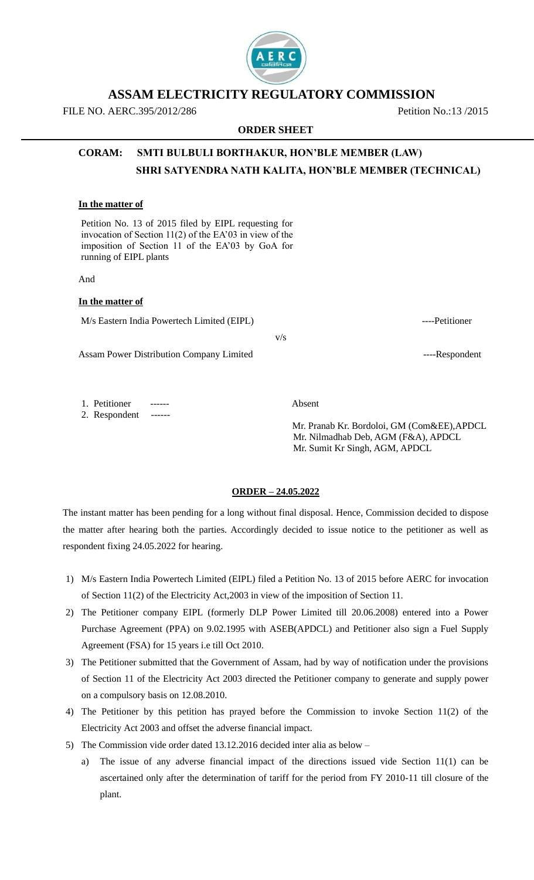## **ASSAM ELECTRICITY REGULATORY COMMISSION**

**ORDER SHEET**

FILE NO. AERC.395/2012/286 Petition No.:13 /2015

# **CORAM: SMTI BULBULI BORTHAKUR, HON'BLE MEMBER (LAW) SHRI SATYENDRA NATH KALITA, HON'BLE MEMBER (TECHNICAL)**

### **In the matter of**

Petition No. 13 of 2015 filed by EIPL requesting for invocation of Section 11(2) of the EA'03 in view of the imposition of Section 11 of the EA'03 by GoA for running of EIPL plants

And

#### **In the matter of**

M/s Eastern India Powertech Limited (EIPL) ----Petitioner

v/s

Assam Power Distribution Company Limited ----Respondent

1. Petitioner ------ Absent

2. Respondent ------

 Mr. Pranab Kr. Bordoloi, GM (Com&EE),APDCL Mr. Nilmadhab Deb, AGM (F&A), APDCL Mr. Sumit Kr Singh, AGM, APDCL

### **ORDER – 24.05.2022**

The instant matter has been pending for a long without final disposal. Hence, Commission decided to dispose the matter after hearing both the parties. Accordingly decided to issue notice to the petitioner as well as respondent fixing 24.05.2022 for hearing.

- 1) M/s Eastern India Powertech Limited (EIPL) filed a Petition No. 13 of 2015 before AERC for invocation of Section 11(2) of the Electricity Act,2003 in view of the imposition of Section 11.
- 2) The Petitioner company EIPL (formerly DLP Power Limited till 20.06.2008) entered into a Power Purchase Agreement (PPA) on 9.02.1995 with ASEB(APDCL) and Petitioner also sign a Fuel Supply Agreement (FSA) for 15 years i.e till Oct 2010.
- 3) The Petitioner submitted that the Government of Assam, had by way of notification under the provisions of Section 11 of the Electricity Act 2003 directed the Petitioner company to generate and supply power on a compulsory basis on 12.08.2010.
- 4) The Petitioner by this petition has prayed before the Commission to invoke Section 11(2) of the Electricity Act 2003 and offset the adverse financial impact.
- 5) The Commission vide order dated 13.12.2016 decided inter alia as below
	- a) The issue of any adverse financial impact of the directions issued vide Section 11(1) can be ascertained only after the determination of tariff for the period from FY 2010-11 till closure of the plant.